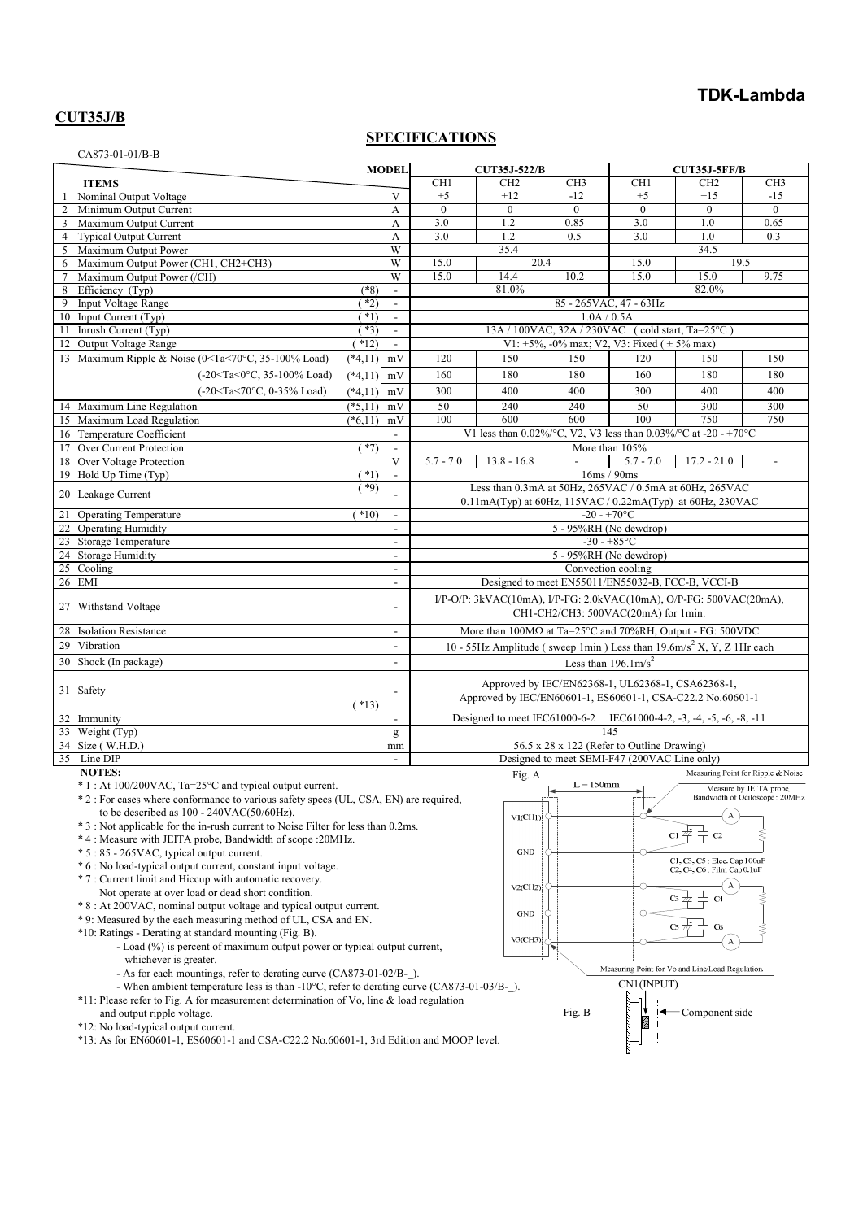# **TDK-Lambda**

## **CUT35J/B**

CA873-01-01/B-B

## **SPECIFICATIONS**

|                                                                                                                                                     | <b>MODEL</b>                                                                                  |         |                                | <b>CUT35J-522/B</b> |                               |                                                                                                                 | <b>CUT35J-5FF/B</b>      |                                                                           |                                    |
|-----------------------------------------------------------------------------------------------------------------------------------------------------|-----------------------------------------------------------------------------------------------|---------|--------------------------------|---------------------|-------------------------------|-----------------------------------------------------------------------------------------------------------------|--------------------------|---------------------------------------------------------------------------|------------------------------------|
|                                                                                                                                                     | <b>ITEMS</b>                                                                                  |         |                                | CH <sub>1</sub>     | CH <sub>2</sub>               | CH <sub>3</sub>                                                                                                 | CH <sub>1</sub>          | CH <sub>2</sub>                                                           | CH <sub>3</sub>                    |
|                                                                                                                                                     | Nominal Output Voltage                                                                        |         | $\overline{V}$                 | $+5$                | $+12$                         | $-12$                                                                                                           | $+5$                     | $+15$                                                                     | $-15$                              |
| $\mathbf{2}$                                                                                                                                        | Minimum Output Current                                                                        |         | A                              | $\theta$            | $\theta$                      | $\theta$                                                                                                        | $\Omega$                 | $\theta$                                                                  | $\theta$                           |
| 3                                                                                                                                                   | Maximum Output Current                                                                        |         | A                              | 3.0                 | 1.2                           | 0.85                                                                                                            | $\overline{3.0}$         | 1.0                                                                       | 0.65                               |
| $\overline{4}$                                                                                                                                      | <b>Typical Output Current</b>                                                                 |         | $\overline{A}$                 | 3.0                 | 1.2                           | 0.5                                                                                                             | 3.0                      | 1.0                                                                       | 0.3                                |
| 5                                                                                                                                                   | Maximum Output Power                                                                          |         | W                              |                     | 35.4                          |                                                                                                                 |                          | 34.5                                                                      |                                    |
| 6                                                                                                                                                   | Maximum Output Power (CH1, CH2+CH3)                                                           |         | $\overline{W}$                 | 15.0                | 20.4                          |                                                                                                                 | 15.0                     | 19.5                                                                      |                                    |
| $\tau$                                                                                                                                              | Maximum Output Power (/CH)                                                                    |         | W                              | 15.0                | 14.4                          | 10.2                                                                                                            | 15.0                     | 15.0                                                                      | 9.75                               |
| 8                                                                                                                                                   | Efficiency (Typ)                                                                              | $(*8)$  | $\mathbb{L}$                   |                     | 81.0%                         |                                                                                                                 |                          | 82.0%                                                                     |                                    |
| 9                                                                                                                                                   | <b>Input Voltage Range</b>                                                                    | $*2)$   | $\blacksquare$                 |                     |                               |                                                                                                                 | 85 - 265 VAC, 47 - 63 Hz |                                                                           |                                    |
| 10                                                                                                                                                  | Input Current (Typ)                                                                           | $(*1)$  | $\overline{\phantom{a}}$       | 1.0A / 0.5A         |                               |                                                                                                                 |                          |                                                                           |                                    |
|                                                                                                                                                     | 11 Inrush Current (Typ)                                                                       | $(*3)$  | $\sim$                         |                     |                               | 13A / 100VAC, 32A / 230VAC (cold start, Ta=25°C)                                                                |                          |                                                                           |                                    |
| 12                                                                                                                                                  | Output Voltage Range                                                                          | $*12)$  | $\mathbb{L}$                   |                     |                               | V1: $+5\%$ , -0% max; V2, V3: Fixed ( $\pm 5\%$ max)                                                            |                          |                                                                           |                                    |
|                                                                                                                                                     | 13 Maximum Ripple & Noise (0 <ta<70°c, 35-100%="" load)<br=""><math>(*4,11)</math></ta<70°c,> |         | mV                             | 120                 | 150                           | 150                                                                                                             | 120                      | 150                                                                       | 150                                |
|                                                                                                                                                     | $(-20 < Ta < 0°C, 35-100%$ Load)<br>$(*4,11)$                                                 |         | mV                             | 160                 | 180                           | 180                                                                                                             | 160                      | 180                                                                       | 180                                |
|                                                                                                                                                     | (-20 <ta<70°c, 0-35%="" load)<br=""><math>(*4,11)</math></ta<70°c,>                           |         | mV                             | 300                 | 400                           | 400                                                                                                             | 300                      | 400                                                                       | 400                                |
|                                                                                                                                                     | 14 Maximum Line Regulation<br>$(*5,11)$                                                       |         | mV                             | 50                  | 240                           | 240                                                                                                             | 50                       | 300                                                                       | 300                                |
|                                                                                                                                                     | 15 Maximum Load Regulation<br>$(*6,11)$                                                       |         | mV                             | 100                 | 600                           | 600                                                                                                             | 100                      | 750                                                                       | 750                                |
|                                                                                                                                                     | 16 Temperature Coefficient                                                                    |         | $\overline{\phantom{a}}$       |                     |                               | V1 less than 0.02%/°C, V2, V3 less than 0.03%/°C at -20 - +70°C                                                 |                          |                                                                           |                                    |
| 17                                                                                                                                                  | Over Current Protection                                                                       | $(*7)$  | $\overline{a}$                 |                     |                               |                                                                                                                 | More than 105%           |                                                                           |                                    |
| 18                                                                                                                                                  | Over Voltage Protection                                                                       |         | $\mathbf{V}$                   | $5.7 - 7.0$         | $13.8 - 16.8$                 | $\mathbf{r}$                                                                                                    | $5.7 - 7.0$              | $17.2 - 21.0$                                                             | $\blacksquare$                     |
|                                                                                                                                                     | 19 Hold Up Time (Typ)                                                                         | $*1)$   | $\blacksquare$                 |                     |                               |                                                                                                                 | 16ms / 90ms              |                                                                           |                                    |
|                                                                                                                                                     | 20 Leakage Current                                                                            | $(*9)$  |                                |                     |                               | Less than 0.3mA at 50Hz, 265VAC / 0.5mA at 60Hz, 265VAC                                                         |                          |                                                                           |                                    |
|                                                                                                                                                     |                                                                                               |         |                                |                     |                               | 0.11mA(Typ) at 60Hz, 115VAC / 0.22mA(Typ) at 60Hz, 230VAC                                                       |                          |                                                                           |                                    |
| 21                                                                                                                                                  | <b>Operating Temperature</b>                                                                  | $(*10)$ | $\overline{a}$                 |                     |                               | $-20 - +70$ °C                                                                                                  |                          |                                                                           |                                    |
| 22                                                                                                                                                  | <b>Operating Humidity</b>                                                                     |         | $\overline{a}$                 |                     |                               | 5 - 95%RH (No dewdrop)                                                                                          |                          |                                                                           |                                    |
| 23                                                                                                                                                  | <b>Storage Temperature</b>                                                                    |         | $\overline{a}$                 |                     |                               |                                                                                                                 | $-30 - +85$ °C           |                                                                           |                                    |
| 24                                                                                                                                                  | <b>Storage Humidity</b>                                                                       |         | $\overline{\phantom{a}}$       |                     |                               | 5 - 95%RH (No dewdrop)                                                                                          |                          |                                                                           |                                    |
| 25                                                                                                                                                  | Cooling                                                                                       |         | $\overline{a}$                 |                     |                               | Convection cooling                                                                                              |                          |                                                                           |                                    |
| 26                                                                                                                                                  | <b>EMI</b>                                                                                    |         | $\overline{a}$                 |                     |                               | Designed to meet EN55011/EN55032-B, FCC-B, VCCI-B                                                               |                          |                                                                           |                                    |
| 27                                                                                                                                                  | Withstand Voltage                                                                             |         |                                |                     |                               | $I/P-O/P$ : 3kVAC(10mA), $I/P$ -FG: 2.0kVAC(10mA), O/P-FG: 500VAC(20mA),<br>CH1-CH2/CH3: 500VAC(20mA) for 1min. |                          |                                                                           |                                    |
| 28                                                                                                                                                  | <b>Isolation Resistance</b>                                                                   |         | $\frac{1}{2}$                  |                     |                               | More than $\overline{100M\Omega}$ at Ta=25°C and 70%RH, Output - FG: 500VDC                                     |                          |                                                                           |                                    |
| 29                                                                                                                                                  | Vibration                                                                                     |         | $\overline{a}$                 |                     |                               | 10 - 55Hz Amplitude (sweep 1min) Less than $19.6 \text{m/s}^2$ X, Y, Z 1Hr each                                 |                          |                                                                           |                                    |
| 30                                                                                                                                                  | Shock (In package)                                                                            |         | $\overline{a}$                 |                     |                               | Less than $196.1 \text{m/s}^2$                                                                                  |                          |                                                                           |                                    |
|                                                                                                                                                     | 31 Safety                                                                                     | $(*13)$ |                                |                     |                               | Approved by IEC/EN62368-1, UL62368-1, CSA62368-1,<br>Approved by IEC/EN60601-1, ES60601-1, CSA-C22.2 No.60601-1 |                          |                                                                           |                                    |
| 32                                                                                                                                                  | Immunity                                                                                      |         | $\overline{a}$                 |                     | Designed to meet IEC61000-6-2 |                                                                                                                 |                          | IEC61000-4-2, $-3$ , $-4$ , $-5$ , $-6$ , $-8$ , $-11$                    |                                    |
|                                                                                                                                                     | 33 Weight (Typ)                                                                               |         | $\mathbf g$                    |                     |                               |                                                                                                                 | 145                      |                                                                           |                                    |
|                                                                                                                                                     | 34 Size (W.H.D.)                                                                              |         | mm                             |                     |                               | 56.5 x 28 x 122 (Refer to Outline Drawing)                                                                      |                          |                                                                           |                                    |
|                                                                                                                                                     | 35 Line DIP                                                                                   |         |                                |                     |                               | Designed to meet SEMI-F47 (200VAC Line only)                                                                    |                          |                                                                           |                                    |
|                                                                                                                                                     | <b>NOTES:</b>                                                                                 |         |                                |                     | Fig. A                        |                                                                                                                 |                          |                                                                           | Measuring Point for Ripple & Noise |
| $*1$ : At 100/200VAC, Ta=25 °C and typical output current.<br>* 2 : For cases where conformance to various safety specs (UL, CSA, EN) are required, |                                                                                               |         |                                |                     | $L = 150$ mm                  |                                                                                                                 |                          | Measure by JEITA probe.                                                   |                                    |
|                                                                                                                                                     |                                                                                               |         | Bandwidth of Ociloscope: 20MHz |                     |                               |                                                                                                                 |                          |                                                                           |                                    |
|                                                                                                                                                     | to be described as $100 - 240 \text{VAC} (50/60 \text{Hz})$ .                                 |         |                                | A<br>VI(CHI)        |                               |                                                                                                                 |                          |                                                                           |                                    |
|                                                                                                                                                     | * 3 : Not applicable for the in-rush current to Noise Filter for less than 0.2ms.             |         |                                |                     |                               |                                                                                                                 |                          |                                                                           |                                    |
|                                                                                                                                                     | *4: Measure with JEITA probe, Bandwidth of scope : 20MHz.                                     |         |                                |                     |                               |                                                                                                                 |                          | $\frac{1}{1}$<br>$\alpha \neq$<br>C <sub>2</sub>                          |                                    |
|                                                                                                                                                     | * 5 : 85 - 265 VAC, typical output current.                                                   |         |                                |                     | $\mathbf{GND}$                |                                                                                                                 |                          |                                                                           |                                    |
|                                                                                                                                                     | * 6 : No load-typical output current, constant input voltage.                                 |         |                                |                     |                               |                                                                                                                 |                          | C1, C3, C5 : Elec, Cap 100uF<br>$C2$ , $C4$ , $C6$ · Film $Can 0$ , $InF$ |                                    |

\* 7 : Current limit and Hiccup with automatic recovery.

- Not operate at over load or dead short condition.
- \* 8 : At 200VAC, nominal output voltage and typical output current.
- \* 9: Measured by the each measuring method of UL, CSA and EN.
- \*10: Ratings Derating at standard mounting (Fig. B).
	- Load (%) is percent of maximum output power or typical output current, whichever is greater.
	- As for each mountings, refer to derating curve (CA873-01-02/B-\_).
	- When ambient temperature less is than -10°C, refer to derating curve (CA873-01-03/B-\_).
- \*11: Please refer to Fig. A for measurement determination of Vo, line & load regulation
- and output ripple voltage.
- \*12: No load-typical output current.
- \*13: As for EN60601-1, ES60601-1 and CSA-C22.2 No.60601-1, 3rd Edition and MOOP level.

 $V2$ (CH<sub>2</sub> **GND**  $C<sub>5</sub>$  $V3$ (CH3) Measuring Point for Vo and Line/Load Regulation. CN1(INPUT) Component side Fig. B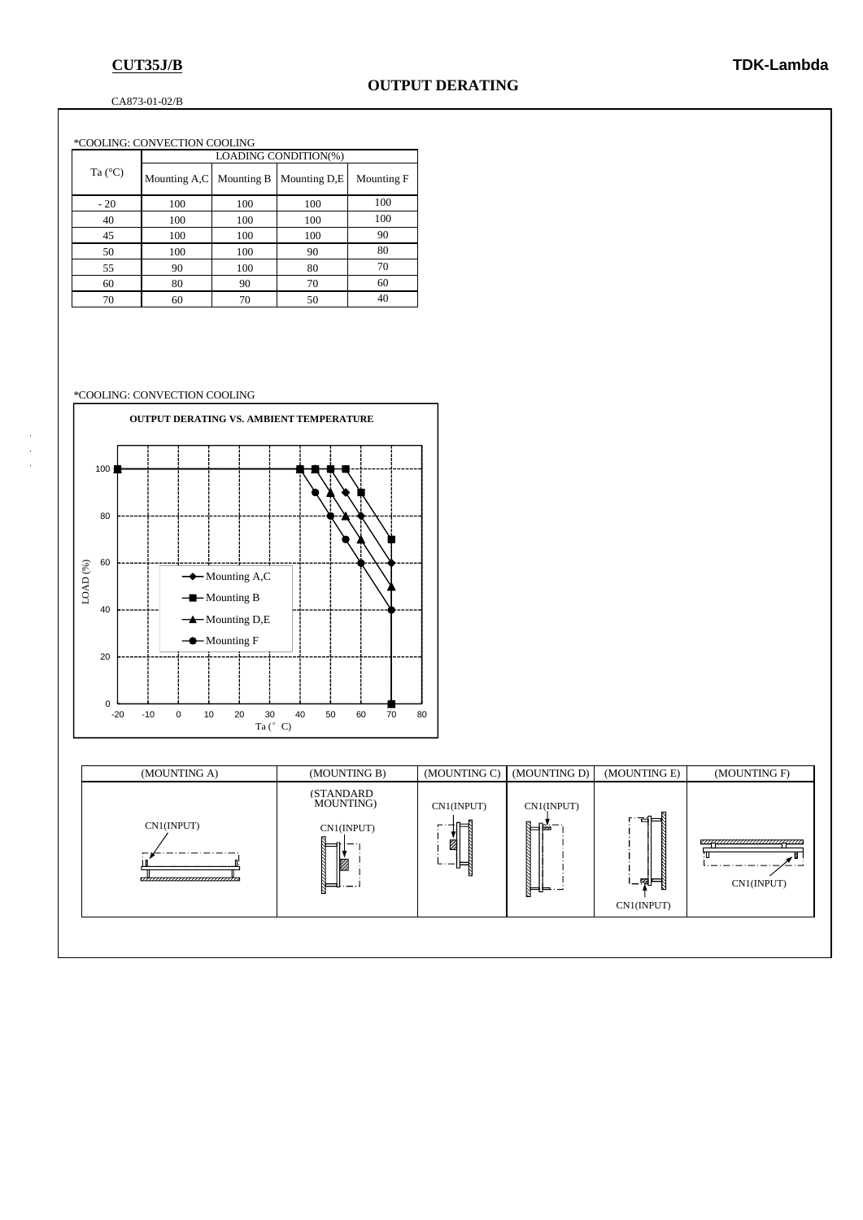### CA873-01-02/B

| *COOLING: CONVECTION COOLING |                  |                      |            |              |            |  |  |
|------------------------------|------------------|----------------------|------------|--------------|------------|--|--|
|                              | Ta $(^{\circ}C)$ | LOADING CONDITION(%) |            |              |            |  |  |
|                              |                  | Mounting A,C         | Mounting B | Mounting D.E | Mounting F |  |  |
|                              | $-20$            | 100                  | 100        | 100          | 100        |  |  |
|                              | 40               | 100                  | 100        | 100          | 100        |  |  |
|                              | 45               | 100                  | 100        | 100          | 90         |  |  |
|                              | 50               | 100                  | 100        | 90           | 80         |  |  |
|                              | 55               | 90                   | 100        | 80           | 70         |  |  |
|                              | 60               | 80                   | 90         | 70           | 60         |  |  |
|                              | 70               | 60                   | 70         | 50           | 40         |  |  |

### \*COOLING: CONVECTION COOLING



| (MOUNTING A)                                 | (MOUNTING B)                                      | (MOUNTING C)                   | (MOUNTING D)                 | (MOUNTING E)              | (MOUNTING F)                                 |
|----------------------------------------------|---------------------------------------------------|--------------------------------|------------------------------|---------------------------|----------------------------------------------|
| CN1(INPUT)<br>,,,,,,,,,,,,,,,,,,,,,,,,,,,,,, | <b>(STANDARD)</b><br>MOUNTING)<br>CN1(INPUT)<br>Ø | CN1(INPUT)<br>ᄇ<br>Ż<br>⊩<br>– | CN1(INPUT)<br>¶⊫∯<br>╠═╬═┈╌╛ | ਖ⊨<br>'–¶F}<br>CN1(INPUT) | ,,,,,,,,,,,,,,,,,,,,,,,,,,,,,,<br>CN1(INPUT) |
|                                              |                                                   |                                |                              |                           |                                              |

l,  $\frac{1}{2}$